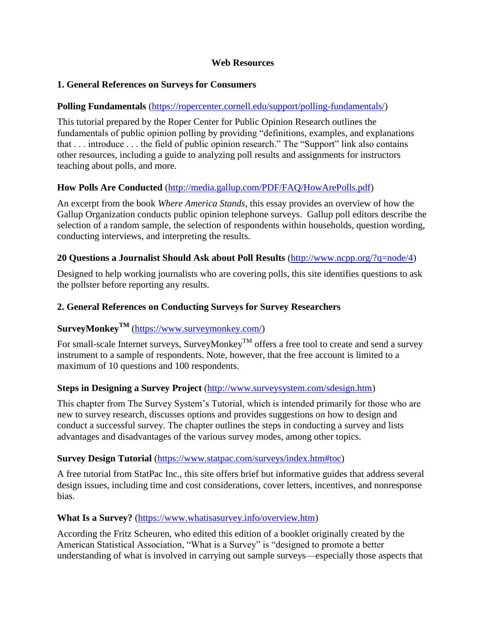### **Web Resources**

### **1. General References on Surveys for Consumers**

### **Polling Fundamentals** [\(https://ropercenter.cornell.edu/support/polling-fundamentals/\)](https://ropercenter.cornell.edu/support/polling-fundamentals/)

This tutorial prepared by the Roper Center for Public Opinion Research outlines the fundamentals of public opinion polling by providing "definitions, examples, and explanations that . . . introduce . . . the field of public opinion research." The "Support" link also contains other resources, including a guide to analyzing poll results and assignments for instructors teaching about polls, and more.

## **How Polls Are Conducted** [\(http://media.gallup.com/PDF/FAQ/HowArePolls.pdf\)](http://media.gallup.com/PDF/FAQ/HowArePolls.pdf)

An excerpt from the book *Where America Stands*, this essay provides an overview of how the Gallup Organization conducts public opinion telephone surveys. Gallup poll editors describe the selection of a random sample, the selection of respondents within households, question wording, conducting interviews, and interpreting the results.

### **20 Questions a Journalist Should Ask about Poll Results** [\(http://www.ncpp.org/?q=node/4\)](http://www.ncpp.org/?q=node/4)

Designed to help working journalists who are covering polls, this site identifies questions to ask the pollster before reporting any results.

### **2. General References on Conducting Surveys for Survey Researchers**

# **SurveyMonkeyTM** [\(https://www.surveymonkey.com/\)](https://www.surveymonkey.com/)

For small-scale Internet surveys, SurveyMonkey<sup>TM</sup> offers a free tool to create and send a survey instrument to a sample of respondents. Note, however, that the free account is limited to a maximum of 10 questions and 100 respondents.

## **Steps in Designing a Survey Project** [\(http://www.surveysystem.com/sdesign.htm\)](http://www.surveysystem.com/sdesign.htm)

This chapter from The Survey System's Tutorial, which is intended primarily for those who are new to survey research, discusses options and provides suggestions on how to design and conduct a successful survey. The chapter outlines the steps in conducting a survey and lists advantages and disadvantages of the various survey modes, among other topics.

#### **Survey Design Tutorial** [\(https://www.statpac.com/surveys/index.htm#toc\)](https://www.statpac.com/surveys/index.htm#toc)

A free tutorial from StatPac Inc., this site offers brief but informative guides that address several design issues, including time and cost considerations, cover letters, incentives, and nonresponse bias.

#### **What Is a Survey?** [\(https://www.whatisasurvey.info/overview.htm\)](https://www.whatisasurvey.info/overview.htm)

According the Fritz Scheuren, who edited this edition of a booklet originally created by the American Statistical Association, "What is a Survey" is "designed to promote a better understanding of what is involved in carrying out sample surveys—especially those aspects that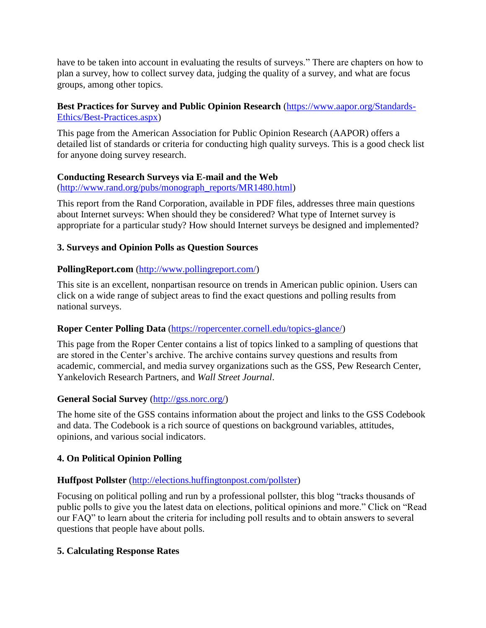have to be taken into account in evaluating the results of surveys." There are chapters on how to plan a survey, how to collect survey data, judging the quality of a survey, and what are focus groups, among other topics.

## **Best Practices for Survey and Public Opinion Research** [\(https://www.aapor.org/Standards-](https://www.aapor.org/Standards-Ethics/Best-Practices.aspx)[Ethics/Best-Practices.aspx\)](https://www.aapor.org/Standards-Ethics/Best-Practices.aspx)

This page from the American Association for Public Opinion Research (AAPOR) offers a detailed list of standards or criteria for conducting high quality surveys. This is a good check list for anyone doing survey research.

## **Conducting Research Surveys via E-mail and the Web**

[\(http://www.rand.org/pubs/monograph\\_reports/MR1480.html\)](http://www.rand.org/pubs/monograph_reports/MR1480.html)

This report from the Rand Corporation, available in PDF files, addresses three main questions about Internet surveys: When should they be considered? What type of Internet survey is appropriate for a particular study? How should Internet surveys be designed and implemented?

# **3. Surveys and Opinion Polls as Question Sources**

## **PollingReport.com** [\(http://www.pollingreport.com/\)](http://www.pollingreport.com/)

This site is an excellent, nonpartisan resource on trends in American public opinion. Users can click on a wide range of subject areas to find the exact questions and polling results from national surveys.

# **Roper Center Polling Data** [\(https://ropercenter.cornell.edu/topics-glance/\)](https://ropercenter.cornell.edu/topics-glance/)

This page from the Roper Center contains a list of topics linked to a sampling of questions that are stored in the Center's archive. The archive contains survey questions and results from academic, commercial, and media survey organizations such as the GSS, Pew Research Center, Yankelovich Research Partners, and *Wall Street Journal*.

# **General Social Survey** [\(http://gss.norc.org/\)](http://gss.norc.org/)

The home site of the GSS contains information about the project and links to the GSS Codebook and data. The Codebook is a rich source of questions on background variables, attitudes, opinions, and various social indicators.

# **4. On Political Opinion Polling**

# **Huffpost Pollster** [\(http://elections.huffingtonpost.com/pollster\)](http://elections.huffingtonpost.com/pollster)

Focusing on political polling and run by a professional pollster, this blog "tracks thousands of public polls to give you the latest data on elections, political opinions and more." Click on "Read our FAQ" to learn about the criteria for including poll results and to obtain answers to several questions that people have about polls.

## **5. Calculating Response Rates**